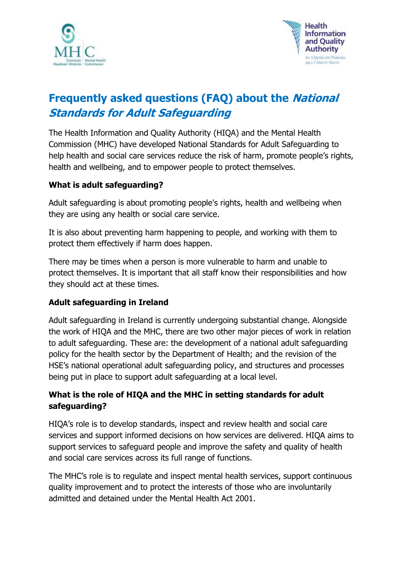



# **Frequently asked questions (FAQ) about the National Standards for Adult Safeguarding**

The Health Information and Quality Authority (HIQA) and the Mental Health Commission (MHC) have developed National Standards for Adult Safeguarding to help health and social care services reduce the risk of harm, promote people's rights, health and wellbeing, and to empower people to protect themselves.

#### **What is adult safeguarding?**

Adult safeguarding is about promoting people's rights, health and wellbeing when they are using any health or social care service.

It is also about preventing harm happening to people, and working with them to protect them effectively if harm does happen.

There may be times when a person is more vulnerable to harm and unable to protect themselves. It is important that all staff know their responsibilities and how they should act at these times.

#### **Adult safeguarding in Ireland**

Adult safeguarding in Ireland is currently undergoing substantial change. Alongside the work of HIQA and the MHC, there are two other major pieces of work in relation to adult safeguarding. These are: the development of a national adult safeguarding policy for the health sector by the Department of Health; and the revision of the HSE's national operational adult safeguarding policy, and structures and processes being put in place to support adult safeguarding at a local level.

### **What is the role of HIQA and the MHC in setting standards for adult safeguarding?**

HIQA's role is to develop standards, inspect and review health and social care services and support informed decisions on how services are delivered. HIQA aims to support services to safeguard people and improve the safety and quality of health and social care services across its full range of functions.

The MHC's role is to regulate and inspect mental health services, support continuous quality improvement and to protect the interests of those who are involuntarily admitted and detained under the Mental Health Act 2001.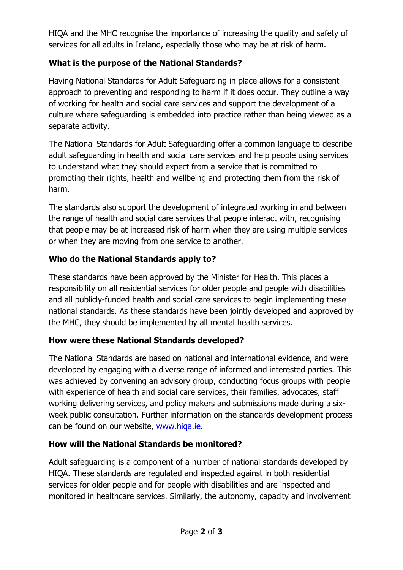HIQA and the MHC recognise the importance of increasing the quality and safety of services for all adults in Ireland, especially those who may be at risk of harm.

# **What is the purpose of the National Standards?**

Having National Standards for Adult Safeguarding in place allows for a consistent approach to preventing and responding to harm if it does occur. They outline a way of working for health and social care services and support the development of a culture where safeguarding is embedded into practice rather than being viewed as a separate activity.

The National Standards for Adult Safeguarding offer a common language to describe adult safeguarding in health and social care services and help people using services to understand what they should expect from a service that is committed to promoting their rights, health and wellbeing and protecting them from the risk of harm.

The standards also support the development of integrated working in and between the range of health and social care services that people interact with, recognising that people may be at increased risk of harm when they are using multiple services or when they are moving from one service to another.

### **Who do the National Standards apply to?**

These standards have been approved by the Minister for Health. This places a responsibility on all residential services for older people and people with disabilities and all publicly-funded health and social care services to begin implementing these national standards. As these standards have been jointly developed and approved by the MHC, they should be implemented by all mental health services.

# **How were these National Standards developed?**

The National Standards are based on national and international evidence, and were developed by engaging with a diverse range of informed and interested parties. This was achieved by convening an advisory group, conducting focus groups with people with experience of health and social care services, their families, advocates, staff working delivering services, and policy makers and submissions made during a sixweek public consultation. Further information on the standards development process can be found on our website, www.higa.ie.

# **How will the National Standards be monitored?**

Adult safeguarding is a component of a number of national standards developed by HIQA. These standards are regulated and inspected against in both residential services for older people and for people with disabilities and are inspected and monitored in healthcare services. Similarly, the autonomy, capacity and involvement